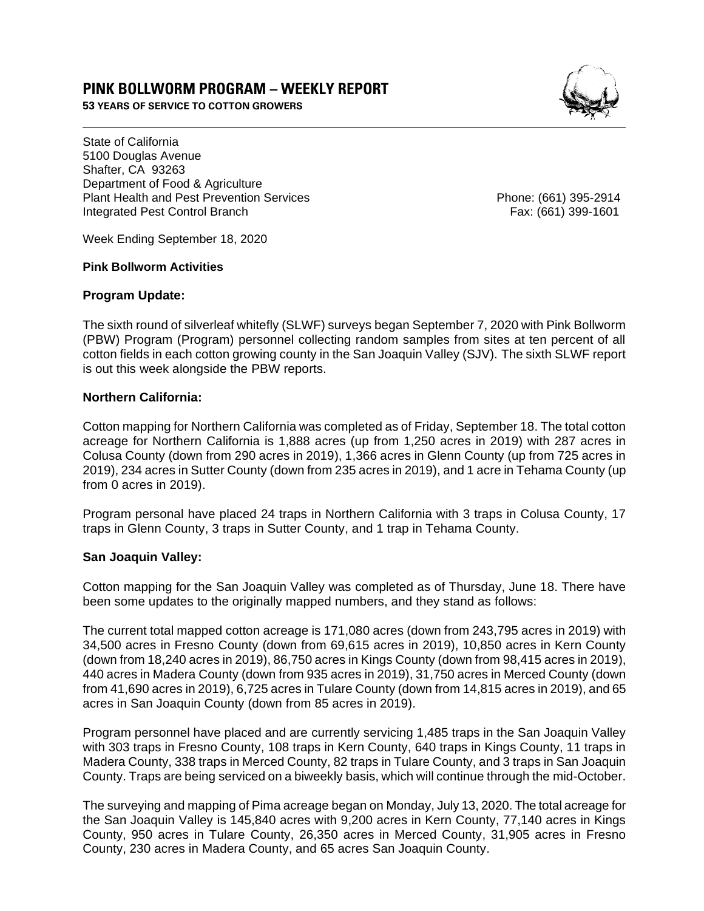# **PINK BOLLWORM PROGRAM – WEEKLY REPORT**

**53 YEARS OF SERVICE TO COTTON GROWERS** 



State of California 5100 Douglas Avenue Shafter, CA 93263 Department of Food & Agriculture Plant Health and Pest Prevention Services Phone: (661) 395-2914 Integrated Pest Control Branch Fax: (661) 399-1601

Week Ending September 18, 2020

#### **Pink Bollworm Activities**

#### **Program Update:**

The sixth round of silverleaf whitefly (SLWF) surveys began September 7, 2020 with Pink Bollworm (PBW) Program (Program) personnel collecting random samples from sites at ten percent of all cotton fields in each cotton growing county in the San Joaquin Valley (SJV). The sixth SLWF report is out this week alongside the PBW reports.

## **Northern California:**

Cotton mapping for Northern California was completed as of Friday, September 18. The total cotton acreage for Northern California is 1,888 acres (up from 1,250 acres in 2019) with 287 acres in Colusa County (down from 290 acres in 2019), 1,366 acres in Glenn County (up from 725 acres in 2019), 234 acres in Sutter County (down from 235 acres in 2019), and 1 acre in Tehama County (up from 0 acres in 2019).

Program personal have placed 24 traps in Northern California with 3 traps in Colusa County, 17 traps in Glenn County, 3 traps in Sutter County, and 1 trap in Tehama County.

## **San Joaquin Valley:**

Cotton mapping for the San Joaquin Valley was completed as of Thursday, June 18. There have been some updates to the originally mapped numbers, and they stand as follows:

The current total mapped cotton acreage is 171,080 acres (down from 243,795 acres in 2019) with 34,500 acres in Fresno County (down from 69,615 acres in 2019), 10,850 acres in Kern County (down from 18,240 acres in 2019), 86,750 acres in Kings County (down from 98,415 acres in 2019), 440 acres in Madera County (down from 935 acres in 2019), 31,750 acres in Merced County (down from 41,690 acres in 2019), 6,725 acres in Tulare County (down from 14,815 acres in 2019), and 65 acres in San Joaquin County (down from 85 acres in 2019).

Program personnel have placed and are currently servicing 1,485 traps in the San Joaquin Valley with 303 traps in Fresno County, 108 traps in Kern County, 640 traps in Kings County, 11 traps in Madera County, 338 traps in Merced County, 82 traps in Tulare County, and 3 traps in San Joaquin County. Traps are being serviced on a biweekly basis, which will continue through the mid-October.

The surveying and mapping of Pima acreage began on Monday, July 13, 2020. The total acreage for the San Joaquin Valley is 145,840 acres with 9,200 acres in Kern County, 77,140 acres in Kings County, 950 acres in Tulare County, 26,350 acres in Merced County, 31,905 acres in Fresno County, 230 acres in Madera County, and 65 acres San Joaquin County.